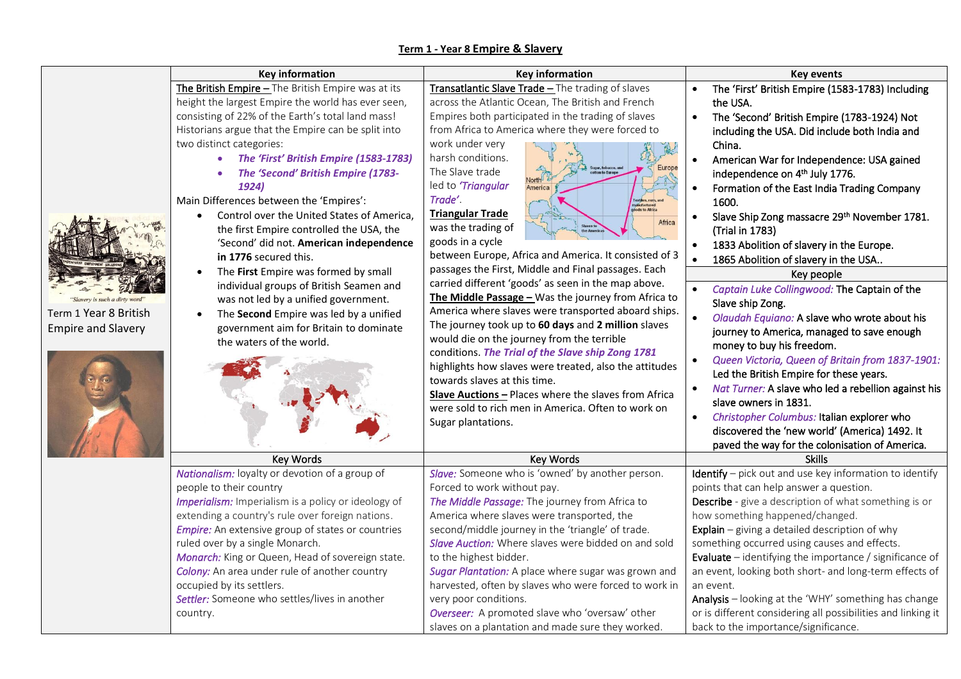## **Term 1 - Year 8 Empire & Slavery**

|                                                                            | <b>Key information</b>                                                                                                                                                                                                                                                                                                                                                                                                                                                                                                                                                                                                                                                                                                                                                                                                              | <b>Key information</b>                                                                                                                                                                                                                                                                                                                                                                                                                                                                                                                                                                                                                                                                                                                                                                                                                                                                                                                                                                                                                                                                                                 | <b>Key events</b>                                                                                                                                                                                                                                                                                                                                                                                                                                                                                                                                                                                                                                                                                                                                                                                                                                                                                                                                                                                                                                                                 |
|----------------------------------------------------------------------------|-------------------------------------------------------------------------------------------------------------------------------------------------------------------------------------------------------------------------------------------------------------------------------------------------------------------------------------------------------------------------------------------------------------------------------------------------------------------------------------------------------------------------------------------------------------------------------------------------------------------------------------------------------------------------------------------------------------------------------------------------------------------------------------------------------------------------------------|------------------------------------------------------------------------------------------------------------------------------------------------------------------------------------------------------------------------------------------------------------------------------------------------------------------------------------------------------------------------------------------------------------------------------------------------------------------------------------------------------------------------------------------------------------------------------------------------------------------------------------------------------------------------------------------------------------------------------------------------------------------------------------------------------------------------------------------------------------------------------------------------------------------------------------------------------------------------------------------------------------------------------------------------------------------------------------------------------------------------|-----------------------------------------------------------------------------------------------------------------------------------------------------------------------------------------------------------------------------------------------------------------------------------------------------------------------------------------------------------------------------------------------------------------------------------------------------------------------------------------------------------------------------------------------------------------------------------------------------------------------------------------------------------------------------------------------------------------------------------------------------------------------------------------------------------------------------------------------------------------------------------------------------------------------------------------------------------------------------------------------------------------------------------------------------------------------------------|
| is such a dirty word<br>Term 1 Year 8 British<br><b>Empire and Slavery</b> | The British Empire - The British Empire was at its<br>height the largest Empire the world has ever seen,<br>consisting of 22% of the Earth's total land mass!<br>Historians argue that the Empire can be split into<br>two distinct categories:<br>The 'First' British Empire (1583-1783)<br>The 'Second' British Empire (1783-<br>1924)<br>Main Differences between the 'Empires':<br>Control over the United States of America,<br>$\bullet$<br>the first Empire controlled the USA, the<br>'Second' did not. American independence<br>in 1776 secured this.<br>The First Empire was formed by small<br>$\bullet$<br>individual groups of British Seamen and<br>was not led by a unified government.<br>The Second Empire was led by a unified<br>$\bullet$<br>government aim for Britain to dominate<br>the waters of the world. | Transatlantic Slave Trade - The trading of slaves<br>across the Atlantic Ocean, The British and French<br>Empires both participated in the trading of slaves<br>from Africa to America where they were forced to<br>work under very<br>harsh conditions.<br>Europe<br>The Slave trade<br>North <sup>12</sup><br>led to 'Triangular<br>America<br>Trade'.<br><b>Triangular Trade</b><br>Africa<br>was the trading of<br>goods in a cycle<br>between Europe, Africa and America. It consisted of 3<br>passages the First, Middle and Final passages. Each<br>carried different 'goods' as seen in the map above.<br>The Middle Passage $-$ Was the journey from Africa to<br>America where slaves were transported aboard ships.<br>The journey took up to 60 days and 2 million slaves<br>would die on the journey from the terrible<br>conditions. The Trial of the Slave ship Zong 1781<br>highlights how slaves were treated, also the attitudes<br>towards slaves at this time.<br>Slave Auctions - Places where the slaves from Africa<br>were sold to rich men in America. Often to work on<br>Sugar plantations. | The 'First' British Empire (1583-1783) Including<br>the USA.<br>The 'Second' British Empire (1783-1924) Not<br>including the USA. Did include both India and<br>China.<br>American War for Independence: USA gained<br>independence on 4 <sup>th</sup> July 1776.<br>Formation of the East India Trading Company<br>1600.<br>Slave Ship Zong massacre 29th November 1781.<br>(Trial in 1783)<br>1833 Abolition of slavery in the Europe.<br>1865 Abolition of slavery in the USA<br>Key people<br>Captain Luke Collingwood: The Captain of the<br>Slave ship Zong.<br>$\bullet$<br>Olaudah Equiano: A slave who wrote about his<br>journey to America, managed to save enough<br>money to buy his freedom.<br>Queen Victoria, Queen of Britain from 1837-1901:<br>$\bullet$<br>Led the British Empire for these years.<br>Nat Turner: A slave who led a rebellion against his<br>$\bullet$<br>slave owners in 1831.<br>Christopher Columbus: Italian explorer who<br>$\bullet$<br>discovered the 'new world' (America) 1492. It<br>paved the way for the colonisation of America. |
|                                                                            | Key Words                                                                                                                                                                                                                                                                                                                                                                                                                                                                                                                                                                                                                                                                                                                                                                                                                           | Key Words                                                                                                                                                                                                                                                                                                                                                                                                                                                                                                                                                                                                                                                                                                                                                                                                                                                                                                                                                                                                                                                                                                              | <b>Skills</b>                                                                                                                                                                                                                                                                                                                                                                                                                                                                                                                                                                                                                                                                                                                                                                                                                                                                                                                                                                                                                                                                     |
|                                                                            | Nationalism: loyalty or devotion of a group of<br>people to their country<br>Imperialism: Imperialism is a policy or ideology of<br>extending a country's rule over foreign nations.<br><b>Empire:</b> An extensive group of states or countries<br>ruled over by a single Monarch.<br>Monarch: King or Queen, Head of sovereign state.<br>Colony: An area under rule of another country<br>occupied by its settlers.<br>Settler: Someone who settles/lives in another<br>country.                                                                                                                                                                                                                                                                                                                                                  | Slave: Someone who is 'owned' by another person.<br>Forced to work without pay.<br>The Middle Passage: The journey from Africa to<br>America where slaves were transported, the<br>second/middle journey in the 'triangle' of trade.<br>Slave Auction: Where slaves were bidded on and sold<br>to the highest bidder.<br>Sugar Plantation: A place where sugar was grown and<br>harvested, often by slaves who were forced to work in<br>very poor conditions.<br>Overseer: A promoted slave who 'oversaw' other<br>slaves on a plantation and made sure they worked.                                                                                                                                                                                                                                                                                                                                                                                                                                                                                                                                                  | Identify - pick out and use key information to identify<br>points that can help answer a question.<br>Describe - give a description of what something is or<br>how something happened/changed.<br>Explain $-$ giving a detailed description of why<br>something occurred using causes and effects.<br><b>Evaluate</b> $-$ identifying the importance / significance of<br>an event, looking both short- and long-term effects of<br>an event.<br>Analysis - looking at the 'WHY' something has change<br>or is different considering all possibilities and linking it<br>back to the importance/significance.                                                                                                                                                                                                                                                                                                                                                                                                                                                                     |